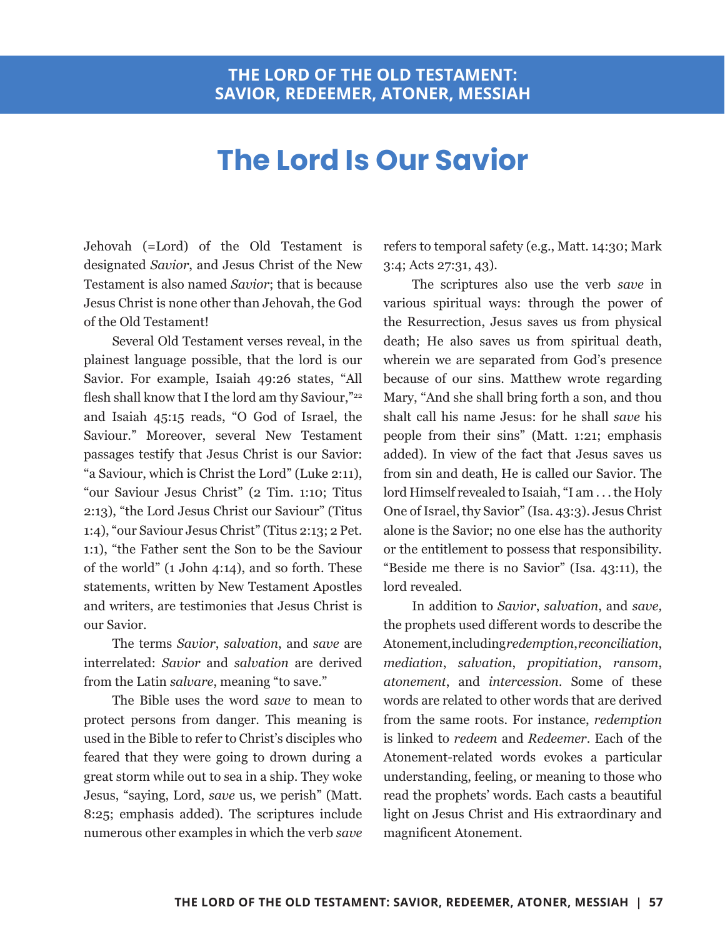## **The Lord Is Our Savior**

Jehovah (=Lord) of the Old Testament is designated *Savior*, and Jesus Christ of the New Testament is also named *Savior*; that is because Jesus Christ is none other than Jehovah, the God of the Old Testament!

Several Old Testament verses reveal, in the plainest language possible, that the lord is our Savior. For example, Isaiah 49:26 states, "All flesh shall know that I the lord am thy Saviour,"<sup>22</sup> and Isaiah 45:15 reads, "O God of Israel, the Saviour." Moreover, several New Testament passages testify that Jesus Christ is our Savior: "a Saviour, which is Christ the Lord" (Luke 2:11), "our Saviour Jesus Christ" (2 Tim. 1:10; Titus 2:13), "the Lord Jesus Christ our Saviour" (Titus 1:4), "our Saviour Jesus Christ" (Titus 2:13; 2 Pet. 1:1), "the Father sent the Son to be the Saviour of the world" (1 John 4:14), and so forth. These statements, written by New Testament Apostles and writers, are testimonies that Jesus Christ is our Savior.

The terms *Savior*, *salvation*, and *save* are interrelated: *Savior* and *salvation* are derived from the Latin *salvare*, meaning "to save."

The Bible uses the word *save* to mean to protect persons from danger. This meaning is used in the Bible to refer to Christ's disciples who feared that they were going to drown during a great storm while out to sea in a ship. They woke Jesus, "saying, Lord, *save* us, we perish" (Matt. 8:25; emphasis added). The scriptures include numerous other examples in which the verb *save* refers to temporal safety (e.g., Matt. 14:30; Mark 3:4; Acts 27:31, 43).

The scriptures also use the verb *save* in various spiritual ways: through the power of the Resurrection, Jesus saves us from physical death; He also saves us from spiritual death, wherein we are separated from God's presence because of our sins. Matthew wrote regarding Mary, "And she shall bring forth a son, and thou shalt call his name Jesus: for he shall *save* his people from their sins" (Matt. 1:21; emphasis added). In view of the fact that Jesus saves us from sin and death, He is called our Savior. The lord Himself revealed to Isaiah, "I am . . . the Holy One of Israel, thy Savior" (Isa. 43:3). Jesus Christ alone is the Savior; no one else has the authority or the entitlement to possess that responsibility. "Beside me there is no Savior" (Isa. 43:11), the lord revealed.

In addition to *Savior*, *salvation*, and *save,* the prophets used different words to describe the Atonement, including *redemption*, *reconciliation*, *mediation*, *salvation*, *propitiation*, *ransom*, *atonement*, and *intercession.* Some of these words are related to other words that are derived from the same roots. For instance, *redemption* is linked to *redeem* and *Redeemer*. Each of the Atonement-related words evokes a particular understanding, feeling, or meaning to those who read the prophets' words. Each casts a beautiful light on Jesus Christ and His extraordinary and magnificent Atonement.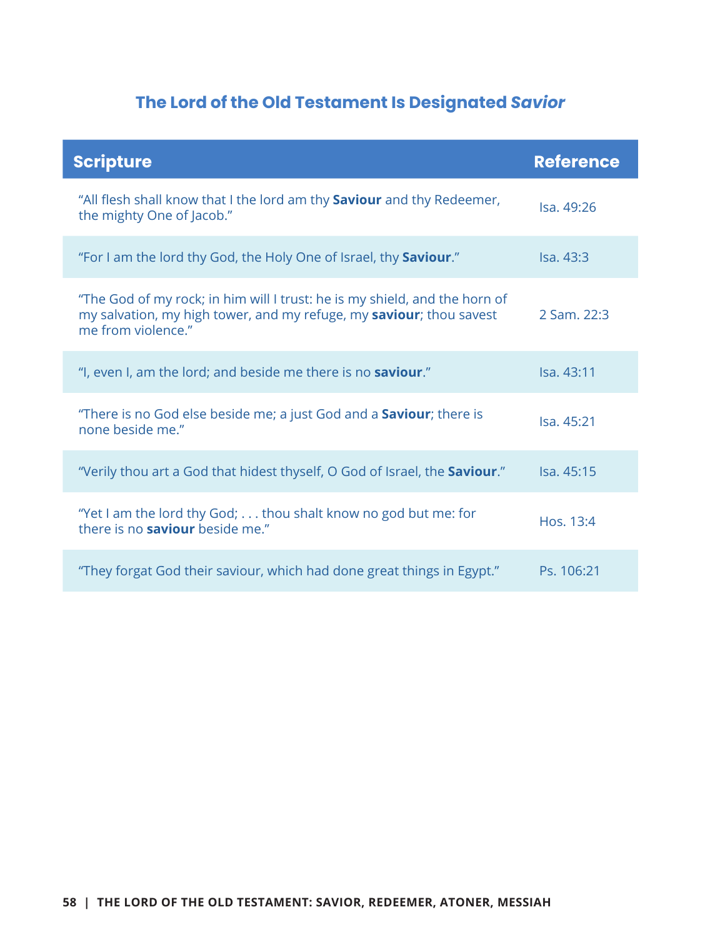## **The Lord of the Old Testament Is Designated** *Savior*

| <b>Scripture</b>                                                                                                                                                        | <b>Reference</b>  |
|-------------------------------------------------------------------------------------------------------------------------------------------------------------------------|-------------------|
| "All flesh shall know that I the lord am thy Saviour and thy Redeemer,<br>the mighty One of Jacob."                                                                     | Isa, 49:26        |
| "For I am the lord thy God, the Holy One of Israel, thy <b>Saviour.</b> "                                                                                               | <b>Isa.</b> 43:3  |
| "The God of my rock; in him will I trust: he is my shield, and the horn of<br>my salvation, my high tower, and my refuge, my saviour; thou savest<br>me from violence." | 2 Sam. 22:3       |
| "I, even I, am the lord; and beside me there is no <b>saviour</b> ."                                                                                                    | <b>Isa.</b> 43:11 |
| "There is no God else beside me; a just God and a <b>Saviour</b> ; there is<br>none beside me."                                                                         | <b>Isa. 45:21</b> |
| "Verily thou art a God that hidest thyself, O God of Israel, the Saviour."                                                                                              | <b>Isa.</b> 45:15 |
| "Yet I am the lord thy God; thou shalt know no god but me: for<br>there is no <b>saviour</b> beside me."                                                                | Hos. 13:4         |
| "They forgat God their saviour, which had done great things in Egypt."                                                                                                  | Ps. 106:21        |